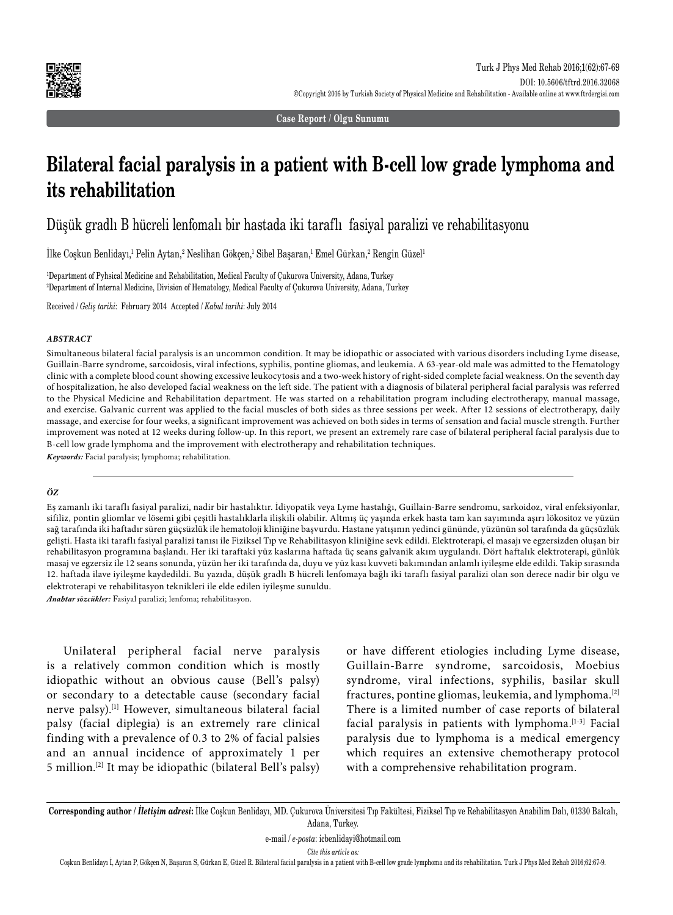

**Case Report / Olgu Sunumu**

# **Bilateral facial paralysis in a patient with B-cell low grade lymphoma and its rehabilitation**

Düşük gradlı B hücreli lenfomalı bir hastada iki taraflı fasiyal paralizi ve rehabilitasyonu

Ilke Coşkun Benlidayı,<sup>1</sup> Pelin Aytan,<sup>2</sup> Neslihan Gökçen,<sup>1</sup> Sibel Başaran,<sup>1</sup> Emel Gürkan,<sup>2</sup> Rengin Güzel<sup>1</sup>

1 Department of Pyhsical Medicine and Rehabilitation, Medical Faculty of Çukurova University, Adana, Turkey 2 Department of Internal Medicine, Division of Hematology, Medical Faculty of Çukurova University, Adana, Turkey

Received / *Geliş tarihi*: February 2014 Accepted / *Kabul tarihi*: July 2014

### *ABSTRACT*

Simultaneous bilateral facial paralysis is an uncommon condition. It may be idiopathic or associated with various disorders including Lyme disease, Guillain-Barre syndrome, sarcoidosis, viral infections, syphilis, pontine gliomas, and leukemia. A 63-year-old male was admitted to the Hematology clinic with a complete blood count showing excessive leukocytosis and a two-week history of right-sided complete facial weakness. On the seventh day of hospitalization, he also developed facial weakness on the left side. The patient with a diagnosis of bilateral peripheral facial paralysis was referred to the Physical Medicine and Rehabilitation department. He was started on a rehabilitation program including electrotherapy, manual massage, and exercise. Galvanic current was applied to the facial muscles of both sides as three sessions per week. After 12 sessions of electrotherapy, daily massage, and exercise for four weeks, a significant improvement was achieved on both sides in terms of sensation and facial muscle strength. Further improvement was noted at 12 weeks during follow-up. In this report, we present an extremely rare case of bilateral peripheral facial paralysis due to B-cell low grade lymphoma and the improvement with electrotherapy and rehabilitation techniques.

*Keywords:* Facial paralysis; lymphoma; rehabilitation.

### *ÖZ*

Eş zamanlı iki taraflı fasiyal paralizi, nadir bir hastalıktır. İdiyopatik veya Lyme hastalığı, Guillain-Barre sendromu, sarkoidoz, viral enfeksiyonlar, sifiliz, pontin gliomlar ve lösemi gibi çeşitli hastalıklarla ilişkili olabilir. Altmış üç yaşında erkek hasta tam kan sayımında aşırı lökositoz ve yüzün sağ tarafında iki haftadır süren güçsüzlük ile hematoloji kliniğine başvurdu. Hastane yatışının yedinci gününde, yüzünün sol tarafında da güçsüzlük gelişti. Hasta iki taraflı fasiyal paralizi tanısı ile Fiziksel Tıp ve Rehabilitasyon kliniğine sevk edildi. Elektroterapi, el masajı ve egzersizden oluşan bir rehabilitasyon programına başlandı. Her iki taraftaki yüz kaslarına haftada üç seans galvanik akım uygulandı. Dört haftalık elektroterapi, günlük masaj ve egzersiz ile 12 seans sonunda, yüzün her iki tarafında da, duyu ve yüz kası kuvveti bakımından anlamlı iyileşme elde edildi. Takip sırasında 12. haftada ilave iyileşme kaydedildi. Bu yazıda, düşük gradlı B hücreli lenfomaya bağlı iki taraflı fasiyal paralizi olan son derece nadir bir olgu ve elektroterapi ve rehabilitasyon teknikleri ile elde edilen iyileşme sunuldu.

*Anahtar sözcükler:* Fasiyal paralizi; lenfoma; rehabilitasyon.

Unilateral peripheral facial nerve paralysis is a relatively common condition which is mostly idiopathic without an obvious cause (Bell's palsy) or secondary to a detectable cause (secondary facial nerve palsy).[1] However, simultaneous bilateral facial palsy (facial diplegia) is an extremely rare clinical finding with a prevalence of 0.3 to 2% of facial palsies and an annual incidence of approximately 1 per 5 million.[2] It may be idiopathic (bilateral Bell's palsy) or have different etiologies including Lyme disease, Guillain-Barre syndrome, sarcoidosis, Moebius syndrome, viral infections, syphilis, basilar skull fractures, pontine gliomas, leukemia, and lymphoma.[2] There is a limited number of case reports of bilateral facial paralysis in patients with lymphoma.[1-3] Facial paralysis due to lymphoma is a medical emergency which requires an extensive chemotherapy protocol with a comprehensive rehabilitation program.

**Corresponding author /** *İletişim adresi***:** İlke Coşkun Benlidayı, MD. Çukurova Üniversitesi Tıp Fakültesi, Fiziksel Tıp ve Rehabilitasyon Anabilim Dalı, 01330 Balcalı, Adana, Turkey.

e-mail / *e-posta*: icbenlidayi@hotmail.com

*Cite this article as:*

Coşkun Benlidayı İ, Aytan P, Gökçen N, Başaran S, Gürkan E, Güzel R. Bilateral facial paralysis in a patient with B-cell low grade lymphoma and its rehabilitation. Turk J Phys Med Rehab 2016;62:67-9.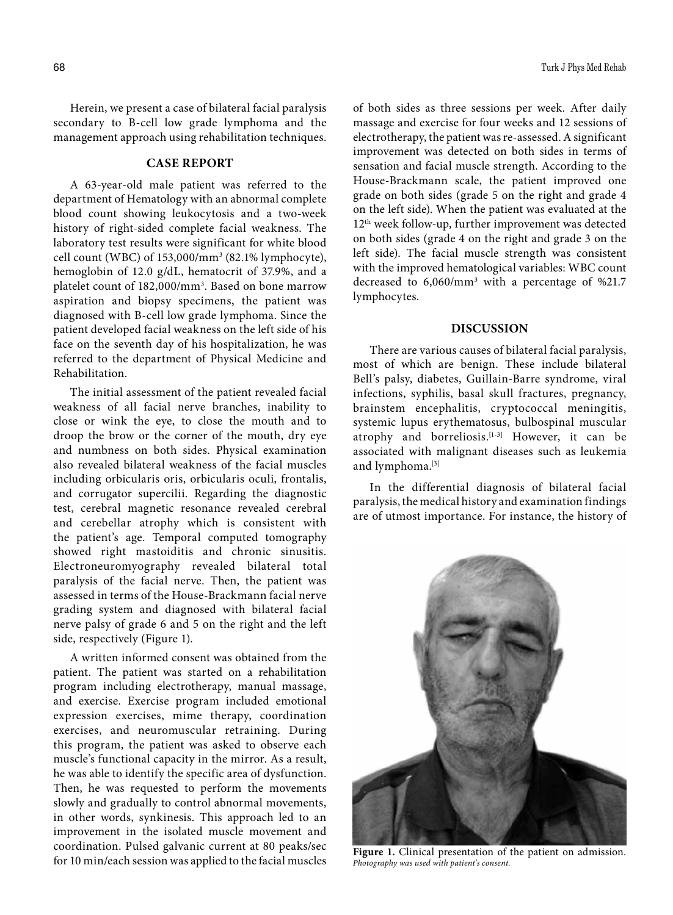Herein, we present a case of bilateral facial paralysis secondary to B-cell low grade lymphoma and the management approach using rehabilitation techniques.

# **CASE REPORT**

A 63-year-old male patient was referred to the department of Hematology with an abnormal complete blood count showing leukocytosis and a two-week history of right-sided complete facial weakness. The laboratory test results were significant for white blood cell count (WBC) of 153,000/mm3 (82.1% lymphocyte), hemoglobin of 12.0 g/dL, hematocrit of 37.9%, and a platelet count of 182,000/mm3 . Based on bone marrow aspiration and biopsy specimens, the patient was diagnosed with B-cell low grade lymphoma. Since the patient developed facial weakness on the left side of his face on the seventh day of his hospitalization, he was referred to the department of Physical Medicine and Rehabilitation.

The initial assessment of the patient revealed facial weakness of all facial nerve branches, inability to close or wink the eye, to close the mouth and to droop the brow or the corner of the mouth, dry eye and numbness on both sides. Physical examination also revealed bilateral weakness of the facial muscles including orbicularis oris, orbicularis oculi, frontalis, and corrugator supercilii. Regarding the diagnostic test, cerebral magnetic resonance revealed cerebral and cerebellar atrophy which is consistent with the patient's age. Temporal computed tomography showed right mastoiditis and chronic sinusitis. Electroneuromyography revealed bilateral total paralysis of the facial nerve. Then, the patient was assessed in terms of the House-Brackmann facial nerve grading system and diagnosed with bilateral facial nerve palsy of grade 6 and 5 on the right and the left side, respectively (Figure 1).

A written informed consent was obtained from the patient. The patient was started on a rehabilitation program including electrotherapy, manual massage, and exercise. Exercise program included emotional expression exercises, mime therapy, coordination exercises, and neuromuscular retraining. During this program, the patient was asked to observe each muscle's functional capacity in the mirror. As a result, he was able to identify the specific area of dysfunction. Then, he was requested to perform the movements slowly and gradually to control abnormal movements, in other words, synkinesis. This approach led to an improvement in the isolated muscle movement and coordination. Pulsed galvanic current at 80 peaks/sec for 10 min/each session was applied to the facial muscles of both sides as three sessions per week. After daily massage and exercise for four weeks and 12 sessions of electrotherapy, the patient was re-assessed. A significant improvement was detected on both sides in terms of sensation and facial muscle strength. According to the House-Brackmann scale, the patient improved one grade on both sides (grade 5 on the right and grade 4 on the left side). When the patient was evaluated at the 12th week follow-up, further improvement was detected on both sides (grade 4 on the right and grade 3 on the left side). The facial muscle strength was consistent with the improved hematological variables: WBC count decreased to 6,060/mm3 with a percentage of %21.7 lymphocytes.

## **DISCUSSION**

There are various causes of bilateral facial paralysis, most of which are benign. These include bilateral Bell's palsy, diabetes, Guillain-Barre syndrome, viral infections, syphilis, basal skull fractures, pregnancy, brainstem encephalitis, cryptococcal meningitis, systemic lupus erythematosus, bulbospinal muscular atrophy and borreliosis.<sup>[1-3]</sup> However, it can be associated with malignant diseases such as leukemia and lymphoma.[3|

In the differential diagnosis of bilateral facial paralysis, the medical history and examination findings are of utmost importance. For instance, the history of



**Figure 1.** Clinical presentation of the patient on admission. *Photography was used with patient's consent.*